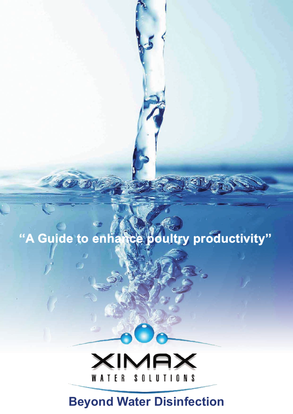# **''A Guide to enhance poultry productivity''**



# **Beyond Water Disinfection**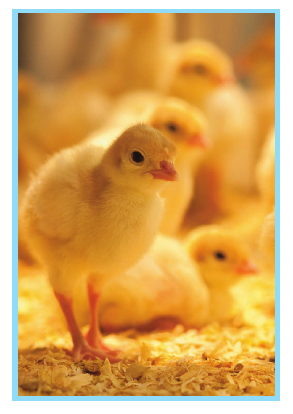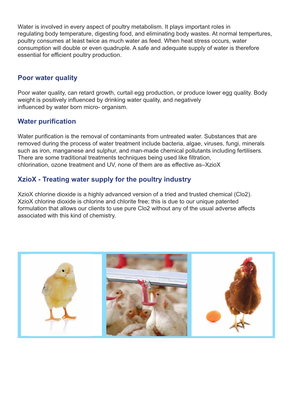Water is involved in every aspect of poultry metabolism. It plays important roles in regulating body temperature, digesting food, and eliminating body wastes. At normal tempertures, poultry consumes at least twice as much water as feed. When heat stress occurs, water consumption will double or even quadruple. A safe and adequate supply of water is therefore essential for efficient poultry production.

### **Poor water quality**

Poor water quality, can retard growth, curtail egg production, or produce lower egg quality. Body weight is positively influenced by drinking water quality, and negatively influenced by water born micro- organism.

## **Water purification**

Water purification is the removal of contaminants from untreated water. Substances that are removed during the process of water treatment include bacteria, algae, viruses, fungi, minerals such as iron, manganese and sulphur, and man-made chemical pollutants including fertilisers. There are some traditional treatments techniques being used like filtration, chlorination, ozone treatment and UV, none of them are as effective as–XzioX

# **XzioX - Treating water supply for the poultry industry**

XzioX chlorine dioxide is a highly advanced version of a tried and trusted chemical (Clo2). XzioX chlorine dioxide is chlorine and chlorite free; this is due to our unique patented formulation that allows our clients to use pure Clo2 without any of the usual adverse affects associated with this kind of chemistry.

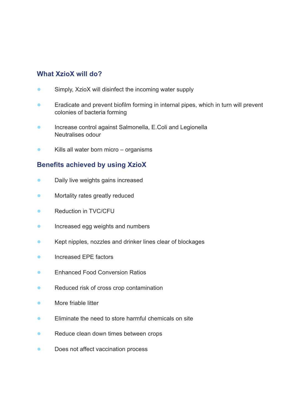## **What XzioX will do?**

- Simply, XzioX will disinfect the incoming water supply
- Eradicate and prevent biofilm forming in internal pipes, which in turn will prevent colonies of bacteria forming
- Increase control against Salmonella, E.Coli and Legionella Neutralises odour
- Kills all water born micro  $-$  organisms

### **Benefits achieved by using XzioX**

- Daily live weights gains increased
- Mortality rates greatly reduced
- Reduction in TVC/CFU
- Increased egg weights and numbers
- Kept nipples, nozzles and drinker lines clear of blockages
- Increased FPF factors
- **Enhanced Food Conversion Ratios**
- Reduced risk of cross crop contamination
- More friable litter
- **Eliminate the need to store harmful chemicals on site**
- Reduce clean down times between crops
- Does not affect vaccination process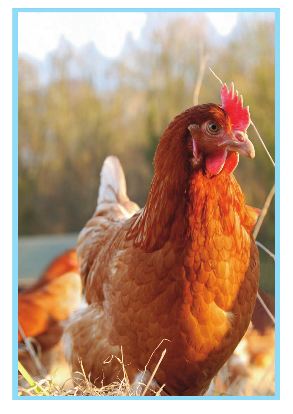